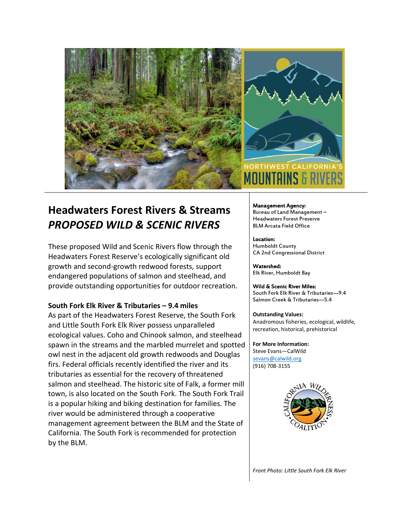



# **Headwaters Forest Rivers & Streams** *PROPOSED WILD & SCENIC RIVERS*

These proposed Wild and Scenic Rivers flow through the Headwaters Forest Reserve's ecologically significant old growth and second-growth redwood forests, support endangered populations of salmon and steelhead, and provide outstanding opportunities for outdoor recreation.

## **South Fork Elk River & Tributaries – 9.4 miles**

As part of the Headwaters Forest Reserve, the South Fork and Little South Fork Elk River possess unparalleled ecological values. Coho and Chinook salmon, and steelhead spawn in the streams and the marbled murrelet and spotted owl nest in the adjacent old growth redwoods and Douglas firs. Federal officials recently identified the river and its tributaries as essential for the recovery of threatened salmon and steelhead. The historic site of Falk, a former mill town, is also located on the South Fork. The South Fork Trail is a popular hiking and biking destination for families. The river would be administered through a cooperative management agreement between the BLM and the State of California. The South Fork is recommended for protection by the BLM.

#### Management Agency: Bureau of Land Management ~ Headwaters Forest Preserve BLM Arcata Field Office

Location: Humboldt County CA 2nd Congressional District

Watershed: Elk River, Humboldt Bay

### Wild & Scenic River Miles: South Fork Elk River & Tributaries—9.4 Salmon Creek & Tributaries—5.4

**Outstanding Values:** Anadromous fisheries, ecological, wildlife, recreation, historical, prehistorical

**For More Information:** Steve Evans—CalWild [sevans@calwild.org](mailto:sevans@calwild.org) (916) 708-3155



*Front Photo: Little South Fork Elk River*